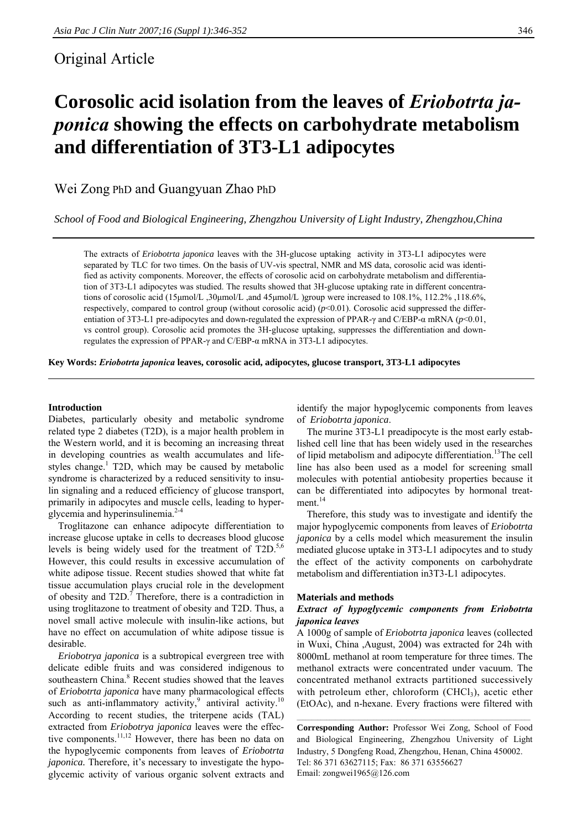# Original Article

# **Corosolic acid isolation from the leaves of** *Eriobotrta japonica* **showing the effects on carbohydrate metabolism and differentiation of 3T3-L1 adipocytes**

Wei Zong PhD and Guangyuan Zhao PhD

*School of Food and Biological Engineering, Zhengzhou University of Light Industry, Zhengzhou,China* 

The extracts of *Eriobotrta japonica* leaves with the 3H-glucose uptaking activity in 3T3-L1 adipocytes were separated by TLC for two times. On the basis of UV-vis spectral, NMR and MS data, corosolic acid was identified as activity components. Moreover, the effects of corosolic acid on carbohydrate metabolism and differentiation of 3T3-L1 adipocytes was studied. The results showed that 3H-glucose uptaking rate in different concentrations of corosolic acid (15μmol/L ,30μmol/L ,and 45μmol/L )group were increased to 108.1%, 112.2% ,118.6%, respectively, compared to control group (without corosolic acid) ( $p<0.01$ ). Corosolic acid suppressed the differentiation of 3T3-L1 pre-adipocytes and down-regulated the expression of PPAR-γ and C/EBP-α mRNA (*p*<0.01, vs control group). Corosolic acid promotes the 3H-glucose uptaking, suppresses the differentiation and downregulates the expression of PPAR-γ and C/EBP-α mRNA in 3T3-L1 adipocytes.

**Key Words:** *Eriobotrta japonica* **leaves, corosolic acid, adipocytes, glucose transport, 3T3-L1 adipocytes** 

# **Introduction**

Diabetes, particularly obesity and metabolic syndrome related type 2 diabetes (T2D), is a major health problem in the Western world, and it is becoming an increasing threat in developing countries as wealth accumulates and lifestyles change.<sup>1</sup> T2D, which may be caused by metabolic syndrome is characterized by a reduced sensitivity to insulin signaling and a reduced efficiency of glucose transport, primarily in adipocytes and muscle cells, leading to hyperglycemia and hyperinsulinemia.<sup>2-4</sup>

Troglitazone can enhance adipocyte differentiation to increase glucose uptake in cells to decreases blood glucose levels is being widely used for the treatment of T2D.<sup>5,6</sup> However, this could results in excessive accumulation of white adipose tissue. Recent studies showed that white fat tissue accumulation plays crucial role in the development of obesity and  $T2D$ .<sup>7</sup> Therefore, there is a contradiction in using troglitazone to treatment of obesity and T2D. Thus, a novel small active molecule with insulin-like actions, but have no effect on accumulation of white adipose tissue is desirable.

*Eriobotrya japonica* is a subtropical evergreen tree with delicate edible fruits and was considered indigenous to southeastern China.<sup>8</sup> Recent studies showed that the leaves of *Eriobotrta japonica* have many pharmacological effects such as anti-inflammatory activity,<sup>9</sup> antiviral activity.<sup>10</sup> According to recent studies, the triterpene acids (TAL) extracted from *Eriobotrya japonica* leaves were the effective components.<sup>11,12</sup> However, there has been no data on the hypoglycemic components from leaves of *Eriobotrta japonica*. Therefore, it's necessary to investigate the hypoglycemic activity of various organic solvent extracts and

identify the major hypoglycemic components from leaves of *Eriobotrta japonica*.

The murine 3T3-L1 preadipocyte is the most early established cell line that has been widely used in the researches of lipid metabolism and adipocyte differentiation.<sup>13</sup>The cell line has also been used as a model for screening small molecules with potential antiobesity properties because it can be differentiated into adipocytes by hormonal treat $ment.<sup>14</sup>$ 

Therefore, this study was to investigate and identify the major hypoglycemic components from leaves of *Eriobotrta japonica* by a cells model which measurement the insulin mediated glucose uptake in 3T3-L1 adipocytes and to study the effect of the activity components on carbohydrate metabolism and differentiation in3T3-L1 adipocytes.

#### **Materials and methods**

# *Extract of hypoglycemic components from Eriobotrta japonica leaves*

A 1000g of sample of *Eriobotrta japonica* leaves (collected in Wuxi, China ,August, 2004) was extracted for 24h with 8000mL methanol at room temperature for three times. The methanol extracts were concentrated under vacuum. The concentrated methanol extracts partitioned successively with petroleum ether, chloroform  $(CHCl<sub>3</sub>)$ , acetic ether (EtOAc), and n-hexane. Every fractions were filtered with

**Corresponding Author:** Professor Wei Zong, School of Food and Biological Engineering, Zhengzhou University of Light Industry, 5 Dongfeng Road, Zhengzhou, Henan, China 450002. Tel: 86 371 63627115; Fax: 86 371 63556627 Email: zongwei1965@126.com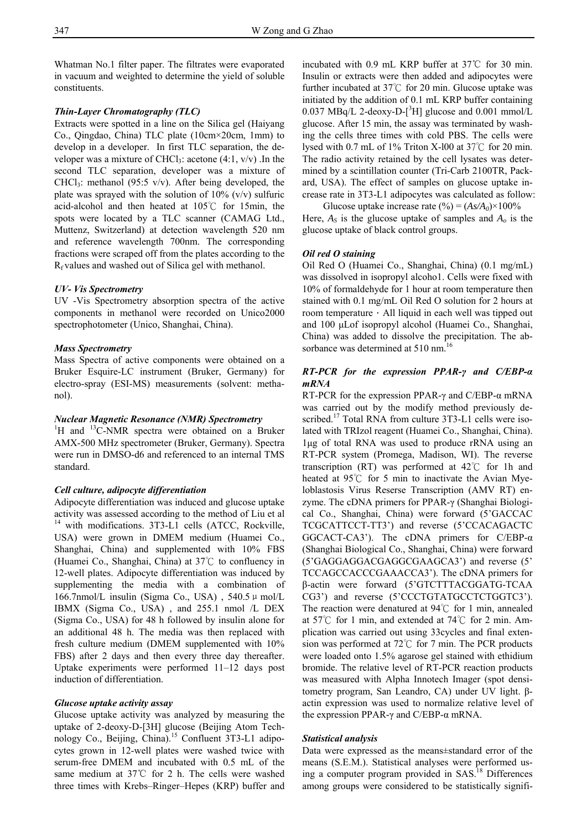Whatman No.1 filter paper. The filtrates were evaporated in vacuum and weighted to determine the yield of soluble constituents.

#### *Thin-Layer Chromatography (TLC)*

Extracts were spotted in a line on the Silica gel (Haiyang Co., Qingdao, China) TLC plate (10cm×20cm, 1mm) to develop in a developer. In first TLC separation, the developer was a mixture of CHCl<sub>3</sub>: acetone  $(4:1, v/v)$ . In the second TLC separation, developer was a mixture of CHCl<sub>3</sub>: methanol (95:5 v/v). After being developed, the plate was sprayed with the solution of  $10\%$  (v/v) sulfuric acid-alcohol and then heated at 105℃ for 15min, the spots were located by a TLC scanner (CAMAG Ltd., Muttenz, Switzerland) at detection wavelength 520 nm and reference wavelength 700nm. The corresponding fractions were scraped off from the plates according to the  $R_f$  values and washed out of Silica gel with methanol.

# *UV- Vis Spectrometry*

UV -Vis Spectrometry absorption spectra of the active components in methanol were recorded on Unico2000 spectrophotometer (Unico, Shanghai, China).

#### *Mass Spectrometry*

Mass Spectra of active components were obtained on a Bruker Esquire-LC instrument (Bruker, Germany) for electro-spray (ESI-MS) measurements (solvent: methanol).

#### *Nuclear Magnetic Resonance (NMR) Spectrometry*

<sup>1</sup>H and <sup>13</sup>C-NMR spectra were obtained on a Bruker AMX-500 MHz spectrometer (Bruker, Germany). Spectra were run in DMSO-d6 and referenced to an internal TMS standard.

# *Cell culture, adipocyte differentiation*

Adipocyte differentiation was induced and glucose uptake activity was assessed according to the method of Liu et al <sup>14</sup> with modifications. 3T3-L1 cells (ATCC, Rockville, USA) were grown in DMEM medium (Huamei Co., Shanghai, China) and supplemented with 10% FBS (Huamei Co., Shanghai, China) at 37℃ to confluency in 12-well plates. Adipocyte differentiation was induced by supplementing the media with a combination of 166.7nmol/L insulin (Sigma Co., USA),  $540.5 \mu$  mol/L IBMX (Sigma Co., USA) , and 255.1 nmol /L DEX (Sigma Co., USA) for 48 h followed by insulin alone for an additional 48 h. The media was then replaced with fresh culture medium (DMEM supplemented with 10% FBS) after 2 days and then every three day thereafter. Uptake experiments were performed 11–12 days post induction of differentiation.

#### *Glucose uptake activity assay*

Glucose uptake activity was analyzed by measuring the uptake of 2-deoxy-D-[3H] glucose (Beijing Atom Technology Co., Beijing, China).<sup>15</sup> Confluent 3T3-L1 adipocytes grown in 12-well plates were washed twice with serum-free DMEM and incubated with 0.5 mL of the same medium at 37℃ for 2 h. The cells were washed three times with Krebs–Ringer–Hepes (KRP) buffer and

incubated with 0.9 mL KRP buffer at 37℃ for 30 min. Insulin or extracts were then added and adipocytes were further incubated at 37℃ for 20 min. Glucose uptake was initiated by the addition of 0.1 mL KRP buffer containing  $0.037 \text{ MBq/L}$  2-deoxy-D- $[^3H]$  glucose and  $0.001 \text{ mmol/L}$ glucose. After 15 min, the assay was terminated by washing the cells three times with cold PBS. The cells were lysed with 0.7 mL of 1% Triton X-l00 at 37℃ for 20 min. The radio activity retained by the cell lysates was determined by a scintillation counter (Tri-Carb 2100TR, Packard, USA). The effect of samples on glucose uptake increase rate in 3T3-L1 adipocytes was calculated as follow:

Glucose uptake increase rate  $(\%)=(As/A_0)\times 100\%$ Here,  $A_S$  is the glucose uptake of samples and  $A_o$  is the glucose uptake of black control groups.

#### *Oil red O staining*

Oil Red O (Huamei Co., Shanghai, China) (0.1 mg/mL) was dissolved in isopropyl alcoho1. Cells were fixed with 10% of formaldehyde for 1 hour at room temperature then stained with 0.1 mg/mL Oil Red O solution for 2 hours at room temperature $\cdot$  All liquid in each well was tipped out and 100 μLof isopropyl alcohol (Huamei Co., Shanghai, China) was added to dissolve the precipitation. The absorbance was determined at 510 nm.<sup>16</sup>

# *RT-PCR for the expression PPAR-γ and C/EBP-α mRNA*

RT-PCR for the expression PPAR- $\gamma$  and C/EBP- $\alpha$  mRNA was carried out by the modify method previously described.<sup>17</sup> Total RNA from culture 3T3-L1 cells were isolated with TRIzol reagent (Huamei Co., Shanghai, China). 1μg of total RNA was used to produce rRNA using an RT-PCR system (Promega, Madison, WI). The reverse transcription (RT) was performed at 42℃ for 1h and heated at 95℃ for 5 min to inactivate the Avian Myeloblastosis Virus Reserse Transcription (AMV RT) enzyme. The cDNA primers for PPAR-γ (Shanghai Biological Co., Shanghai, China) were forward (5'GACCAC TCGCATTCCT-TT3') and reverse (5'CCACAGACTC GGCACT-CA3'). The cDNA primers for C/EBP-α (Shanghai Biological Co., Shanghai, China) were forward (5'GAGGAGGACGAGGCGAAGCA3') and reverse (5' TCCAGCCACCCGAAACCA3'). The cDNA primers for β-actin were forward (5'GTCTTTACGGATG-TCAA CG3') and reverse (5'CCCTGTATGCCTCTGGTC3'). The reaction were denatured at 94℃ for 1 min, annealed at 57℃ for 1 min, and extended at 74℃ for 2 min. Amplication was carried out using 33cycles and final extension was performed at 72℃ for 7 min. The PCR products were loaded onto 1.5% agarose gel stained with ethidium bromide. The relative level of RT-PCR reaction products was measured with Alpha Innotech Imager (spot densitometry program, San Leandro, CA) under UV light. βactin expression was used to normalize relative level of the expression PPAR-γ and C/EBP-α mRNA.

#### *Statistical analysis*

Data were expressed as the means±standard error of the means (S.E.M.). Statistical analyses were performed using a computer program provided in SAS.18 Differences among groups were considered to be statistically signifi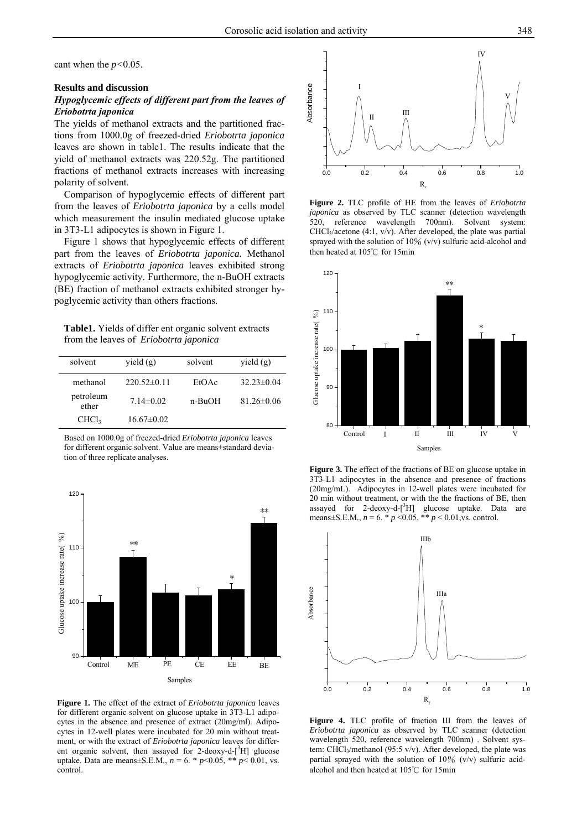cant when the *p<*0.05.

#### **Results and discussion**

# *Hypoglycemic effects of different part from the leaves of Eriobotrta japonica*

The yields of methanol extracts and the partitioned fractions from 1000.0g of freezed-dried *Eriobotrta japonica* leaves are shown in table1. The results indicate that the yield of methanol extracts was 220.52g. The partitioned fractions of methanol extracts increases with increasing polarity of solvent.

Comparison of hypoglycemic effects of different part from the leaves of *Eriobotrta japonica* by a cells model which measurement the insulin mediated glucose uptake in 3T3-L1 adipocytes is shown in Figure 1.

Figure 1 shows that hypoglycemic effects of different part from the leaves of *Eriobotrta japonica.* Methanol extracts of *Eriobotrta japonica* leaves exhibited strong hypoglycemic activity. Furthermore, the n-BuOH extracts (BE) fraction of methanol extracts exhibited stronger hypoglycemic activity than others fractions.

**Table1.** Yields of differ ent organic solvent extracts from the leaves of *Eriobotrta japonica* 

| solvent            | yield(g)        | solvent | yield $(g)$      |
|--------------------|-----------------|---------|------------------|
| methanol           | $220.52\pm0.11$ | EtOAc   | $32.23 \pm 0.04$ |
| petroleum<br>ether | $7.14 \pm 0.02$ | n-BuOH  | $81.26 \pm 0.06$ |
| CHCl <sub>3</sub>  | $16.67\pm0.02$  |         |                  |

Based on 1000.0g of freezed-dried *Eriobotrta japonica* leaves for different organic solvent. Value are means±standard deviation of three replicate analyses.



**Figure 1.** The effect of the extract of *Eriobotrta japonica* leaves for different organic solvent on glucose uptake in 3T3-L1 adipocytes in the absence and presence of extract (20mg/ml). Adipocytes in 12-well plates were incubated for 20 min without treatment, or with the extract of *Eriobotrta japonica* leaves for different organic solvent, then assayed for  $2$ -deoxy-d- $[3H]$  glucose uptake. Data are means±S*.*E*.*M*.*, *n* = 6. \* *p*<0.05, \*\* *p*< 0.01, vs. control.



**Figure 2.** TLC profile of HE from the leaves of *Eriobotrta japonica* as observed by TLC scanner (detection wavelength 520, reference wavelength 700nm). Solvent system: CHCl3/acetone (4:1, v/v). After developed, the plate was partial sprayed with the solution of 10% (v/v) sulfuric acid-alcohol and then heated at 105℃ for 15min



**Figure 3.** The effect of the fractions of BE on glucose uptake in 3T3-L1 adipocytes in the absence and presence of fractions (20mg/mL). Adipocytes in 12-well plates were incubated for 20 min without treatment, or with the the fractions of BE, then assayed for  $2$ -deoxy-d- $[3H]$  glucose uptake. Data are means±S.E.M.,  $n = 6.$  \*  $p < 0.05$ , \*\*  $p < 0.01$ , vs. control.



**Figure 4.** TLC profile of fraction Ш from the leaves of *Eriobotrta japonica* as observed by TLC scanner (detection wavelength 520, reference wavelength 700nm) . Solvent system: CHCl<sub>3</sub>/methanol (95:5 v/v). After developed, the plate was partial sprayed with the solution of  $10\%$  (v/v) sulfuric acidalcohol and then heated at 105℃ for 15min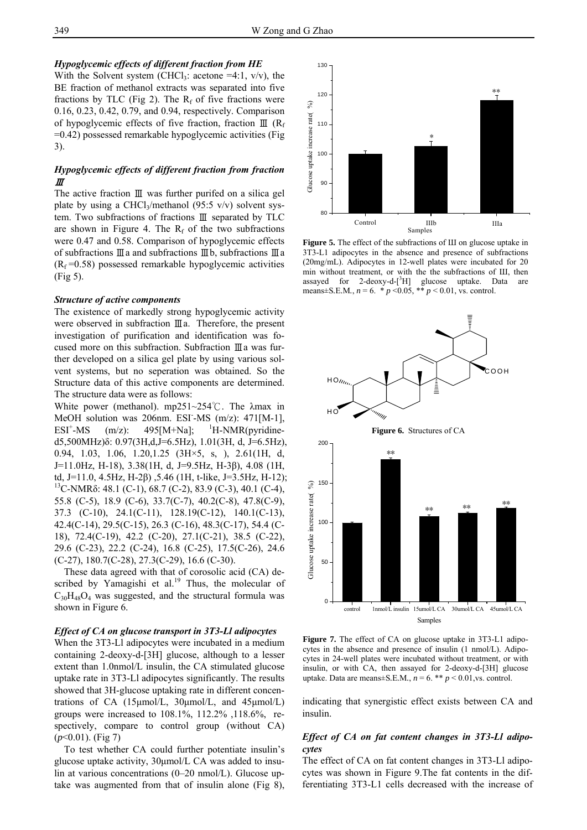#### *Hypoglycemic effects of different fraction from HE*

With the Solvent system (CHCl<sub>3</sub>: acetone =4:1,  $v/v$ ), the BE fraction of methanol extracts was separated into five fractions by TLC (Fig 2). The  $R_f$  of five fractions were 0.16, 0.23, 0.42, 0.79, and 0.94, respectively. Comparison of hypoglycemic effects of five fraction, fraction  $\mathbb{II}$  (R<sub>f</sub> =0.42) possessed remarkable hypoglycemic activities (Fig 3).

# *Hypoglycemic effects of different fraction from fraction*  Ⅲ

The active fraction Ⅲ was further purifed on a silica gel plate by using a CHCl<sub>3</sub>/methanol (95:5 v/v) solvent system. Two subfractions of fractions Ⅲ separated by TLC are shown in Figure 4. The  $R_f$  of the two subfractions were 0.47 and 0.58. Comparison of hypoglycemic effects of subfractions Ⅲa and subfractions Ⅲb, subfractions Ⅲa  $(R_f = 0.58)$  possessed remarkable hypoglycemic activities (Fig 5).

#### *Structure of active components*

The existence of markedly strong hypoglycemic activity were observed in subfraction Ⅲa. Therefore, the present investigation of purification and identification was focused more on this subfraction. Subfraction Ⅲa was further developed on a silica gel plate by using various solvent systems, but no seperation was obtained. So the Structure data of this active components are determined. The structure data were as follows:

White power (methanol). mp251~254℃. The λmax in MeOH solution was 206nm. ESI-MS (m/z): 471[M-1],  $ESI<sup>+</sup>-MS$  $(m/z):$  495[M+Na]; <sup>1</sup>H-NMR(pyridined5,500MHz)δ: 0.97(3H,d,J=6.5Hz), 1.01(3H, d, J=6.5Hz), 0.94, 1.03, 1.06, 1.20,1.25 (3H×5, s, ), 2.61(1H, d, J=11.0Hz, H-18), 3.38(1H, d, J=9.5Hz, H-3β), 4.08 (1H, td, J=11.0, 4.5Hz, H-2β) ,5.46 (1H, t-like, J=3.5Hz, H-12);<br><sup>13</sup>C-NMRδ: 48.1 (C-1), 68.7 (C-2), 83.9 (C-3), 40.1 (C-4), 55.8 (C-5), 18.9 (C-6), 33.7(C-7), 40.2(C-8), 47.8(C-9), 37.3 (C-10), 24.1(C-11), 128.19(C-12), 140.1(C-13), 42.4(C-14), 29.5(C-15), 26.3 (C-16), 48.3(C-17), 54.4 (C-18), 72.4(C-19), 42.2 (C-20), 27.1(C-21), 38.5 (C-22), 29.6 (C-23), 22.2 (C-24), 16.8 (C-25), 17.5(C-26), 24.6 (C-27), 180.7(C-28), 27.3(C-29), 16.6 (C-30).

These data agreed with that of corosolic acid (CA) described by Yamagishi et al.<sup>19</sup> Thus, the molecular of  $C_{30}H_{48}O_4$  was suggested, and the structural formula was shown in Figure 6.

#### *Effect of CA on glucose transport in 3T3-Ll adipocytes*

When the 3T3-Ll adipocytes were incubated in a medium containing 2-deoxy-d-[3H] glucose, although to a lesser extent than 1.0nmol/L insulin, the CA stimulated glucose uptake rate in 3T3-Ll adipocytes significantly. The results showed that 3H-glucose uptaking rate in different concentrations of CA (15μmol/L, 30μmol/L, and 45μmol/L) groups were increased to 108.1%, 112.2% ,118.6%, respectively, compare to control group (without CA) (*p*<0.01). (Fig 7)

To test whether CA could further potentiate insulin's glucose uptake activity, 30μmol/L CA was added to insulin at various concentrations (0–20 nmol/L). Glucose uptake was augmented from that of insulin alone (Fig 8),



**Figure 5.** The effect of the subfractions of Ш on glucose uptake in 3T3-L1 adipocytes in the absence and presence of subfractions (20mg/mL). Adipocytes in 12-well plates were incubated for 20 min without treatment, or with the the subfractions of Ш, then assayed for 2-deoxy-d- $[^3H]$  glucose uptake. Data are means $\pm$ S.E.M.,  $n = 6.$  \*  $p < 0.05$ , \*\*  $p < 0.01$ , vs. control.



**Figure 7.** The effect of CA on glucose uptake in 3T3-L1 adipocytes in the absence and presence of insulin (1 nmol/L). Adipocytes in 24-well plates were incubated without treatment, or with insulin, or with CA, then assayed for 2-deoxy-d-[3H] glucose uptake. Data are means $\pm$ S.E.M.,  $n = 6$ . \*\*  $p < 0.01$ , vs. control.

indicating that synergistic effect exists between CA and insulin.

## *Effect of CA on fat content changes in 3T3-Ll adipocytes*

The effect of CA on fat content changes in 3T3-Ll adipocytes was shown in Figure 9.The fat contents in the differentiating 3T3-L1 cells decreased with the increase of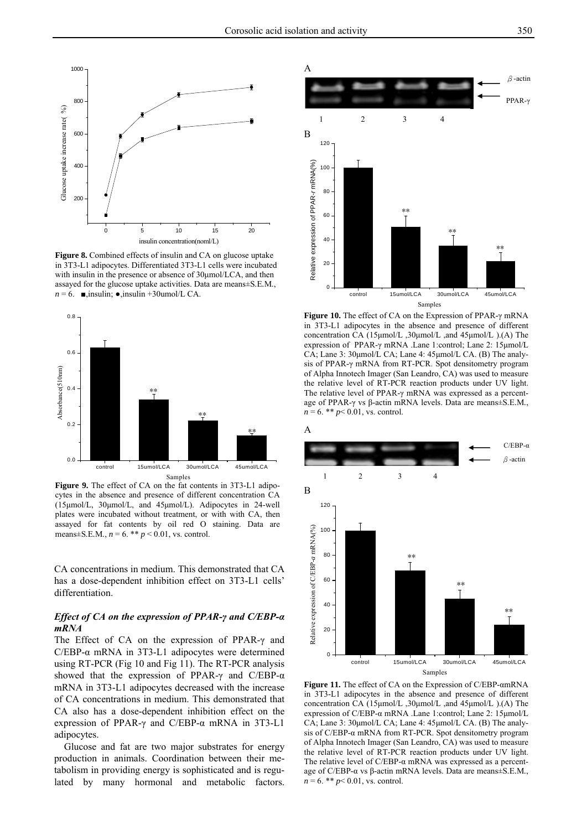

**Figure 8.** Combined effects of insulin and CA on glucose uptake in 3T3-L1 adipocytes. Differentiated 3T3-L1 cells were incubated with insulin in the presence or absence of 30μmol/LCA, and then assayed for the glucose uptake activities. Data are means±S*.*E*.*M*.*,  $n = 6$ . **■**,insulin; •,insulin +30umol/L CA.



**Figure 9.** The effect of CA on the fat contents in 3T3-L1 adipocytes in the absence and presence of different concentration CA (15μmol/L, 30μmol/L, and 45μmol/L). Adipocytes in 24-well plates were incubated without treatment, or with with CA, then assayed for fat contents by oil red O staining. Data are means $\pm$ S.E.M.,  $n = 6.$  \*\*  $p < 0.01$ , vs. control.

CA concentrations in medium. This demonstrated that CA has a dose-dependent inhibition effect on 3T3-L1 cells' differentiation.

# *Effect of CA on the expression of PPAR-γ and C/EBP-α mRNA*

The Effect of CA on the expression of PPAR-γ and C/EBP- $\alpha$  mRNA in 3T3-L1 adipocytes were determined using RT-PCR (Fig 10 and Fig 11). The RT-PCR analysis showed that the expression of PPAR-γ and C/EBP- $α$ mRNA in 3T3-L1 adipocytes decreased with the increase of CA concentrations in medium. This demonstrated that CA also has a dose-dependent inhibition effect on the expression of PPAR-γ and C/EBP-α mRNA in 3T3-L1 adipocytes.

Glucose and fat are two major substrates for energy production in animals. Coordination between their metabolism in providing energy is sophisticated and is regulated by many hormonal and metabolic factors.



**Figure 10.** The effect of CA on the Expression of PPAR-γ mRNA in 3T3-L1 adipocytes in the absence and presence of different concentration CA (15μmol/L ,30μmol/L ,and 45μmol/L ).(A) The expression of PPAR-γ mRNA .Lane 1:control; Lane 2: 15μmol/L CA; Lane 3: 30μmol/L CA; Lane 4: 45μmol/L CA. (B) The analysis of PPAR-γ mRNA from RT-PCR. Spot densitometry program of Alpha Innotech Imager (San Leandro, CA) was used to measure the relative level of RT-PCR reaction products under UV light. The relative level of PPAR-γ mRNA was expressed as a percentage of PPAR-γ vs β-actin mRNA levels. Data are means±S*.*E*.*M*.*,  $n = 6$ . \*\*  $p < 0.01$ , vs. control.



**Figure 11.** The effect of CA on the Expression of C/EBP-αmRNA in 3T3-L1 adipocytes in the absence and presence of different concentration CA (15μmol/L ,30μmol/L ,and 45μmol/L ).(A) The expression of C/EBP-α mRNA .Lane 1:control; Lane 2: 15μmol/L CA; Lane 3: 30μmol/L CA; Lane 4: 45μmol/L CA. (B) The analysis of C/EBP-α mRNA from RT-PCR. Spot densitometry program of Alpha Innotech Imager (San Leandro, CA) was used to measure the relative level of RT-PCR reaction products under UV light. The relative level of  $C/EBP-\alpha$  mRNA was expressed as a percentage of C/EBP-α vs β-actin mRNA levels. Data are means±S*.*E*.*M*.*,  $n = 6.$  \*\*  $p < 0.01$ , vs. control.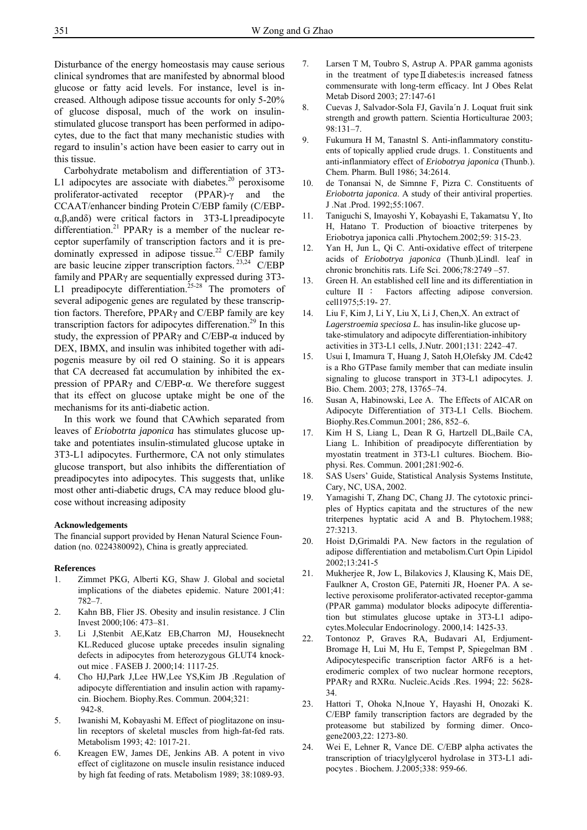Disturbance of the energy homeostasis may cause serious clinical syndromes that are manifested by abnormal blood glucose or fatty acid levels. For instance, level is increased. Although adipose tissue accounts for only 5-20% of glucose disposal, much of the work on insulinstimulated glucose transport has been performed in adipocytes, due to the fact that many mechanistic studies with regard to insulin's action have been easier to carry out in this tissue.

Carbohydrate metabolism and differentiation of 3T3- L1 adipocytes are associate with diabetes. $20$  peroxisome proliferator-activated receptor (PPAR)-γ and the CCAAT/enhancer binding Protein C/EBP family (C/EBPα,β,andδ) were critical factors in 3T3-L1preadipocyte differentiation.<sup>21</sup> PPAR<sub>Y</sub> is a member of the nuclear receptor superfamily of transcription factors and it is predominatly expressed in adipose tissue.<sup>22</sup> C/EBP family are basic leucine zipper transcription factors.<sup>23,24</sup> C/EBP family and PPARγ are sequentially expressed during 3T3- L1 preadipocyte differentiation.<sup>25-28</sup> The promoters of several adipogenic genes are regulated by these transcription factors. Therefore, PPARγ and C/EBP family are key transcription factors for adipocytes differenation.<sup>29</sup> In this study, the expression of PPAR $\gamma$  and C/EBP- $\alpha$  induced by DEX, IBMX, and insulin was inhibited together with adipogenis measure by oil red O staining. So it is appears that CA decreased fat accumulation by inhibited the expression of PPARγ and C/EBP-α. We therefore suggest that its effect on glucose uptake might be one of the mechanisms for its anti-diabetic action.

In this work we found that CAwhich separated from leaves of *Eriobotrta japonica* has stimulates glucose uptake and potentiates insulin-stimulated glucose uptake in 3T3-L1 adipocytes. Furthermore, CA not only stimulates glucose transport, but also inhibits the differentiation of preadipocytes into adipocytes. This suggests that, unlike most other anti-diabetic drugs, CA may reduce blood glucose without increasing adiposity

#### **Acknowledgements**

The financial support provided by Henan Natural Science Foundation (no. 0224380092), China is greatly appreciated.

#### **References**

- 1. Zimmet PKG, Alberti KG, Shaw J. Global and societal implications of the diabetes epidemic. Nature 2001;41: 782–7.
- 2. Kahn BB, Flier JS. Obesity and insulin resistance. J Clin Invest 2000;106: 473–81.
- 3. Li J,Stenbit AE,Katz EB,Charron MJ, Houseknecht KL.Reduced glucose uptake precedes insulin signaling defects in adipocytes from heterozygous GLUT4 knockout mice . FASEB J. 2000;14: 1117-25.
- 4. Cho HJ,Park J,Lee HW,Lee YS,Kim JB .Regulation of adipocyte differentiation and insulin action with rapamycin. Biochem. Biophy.Res. Commun. 2004;321: 942-8.
- 5. Iwanishi M, Kobayashi M. Effect of pioglitazone on insulin receptors of skeletal muscles from high-fat-fed rats. Metabolism 1993; 42: 1017-21.
- 6. Kreagen EW, James DE, Jenkins AB. A potent in vivo effect of ciglitazone on muscle insulin resistance induced by high fat feeding of rats. Metabolism 1989; 38:1089-93.
- 7. Larsen T M, Toubro S, Astrup A. PPAR gamma agonists in the treatment of typeⅡdiabetes:is increased fatness commensurate with long-term efficacy. Int J Obes Relat Metab Disord 2003; 27:147-61
- 8. Cuevas J, Salvador-Sola FJ, Gavila´n J. Loquat fruit sink strength and growth pattern. Scientia Horticulturae 2003; 98:131–7.
- 9. Fukumura H M, Tanastnl S. Anti-inflammatory constituents of topically applied crude drugs. 1. Constituents and anti-inflanmiatory effect of *Eriobotrya japonica* (Thunb.). Chem. Pharm. Bull 1986; 34:2614.
- 10. de Tonansai N, de Simnne F, Pizra C. Constituents of *Eriobotrta japonica*. A study of their antiviral properties. J .Nat .Prod. 1992;55:1067.
- 11. Taniguchi S, Imayoshi Y, Kobayashi E, Takamatsu Y, Ito H, Hatano T. Production of bioactive triterpenes by Eriobotrya japonica calli .Phytochem.2002;59: 315-23.
- 12. Yan H, Jun L, Qi C. Anti-oxidative effect of triterpene acids of *Eriobotrya japonica* (Thunb.)Lindl. leaf in chronic bronchitis rats. Life Sci. 2006;78:2749 –57.
- 13. Green H. An established celI line and its differentiation in culture II : Factors affecting adipose conversion. cell1975;5:19- 27.
- 14. Liu F, Kim J, Li Y, Liu X, Li J, Chen,X. An extract of *Lagerstroemia speciosa L.* has insulin-like glucose uptake-stimulatory and adipocyte differentiation-inhibitory activities in 3T3-L1 cells, J.Nutr. 2001;131: 2242–47.
- 15. Usui I, Imamura T, Huang J, Satoh H,Olefsky JM. Cdc42 is a Rho GTPase family member that can mediate insulin signaling to glucose transport in 3T3-L1 adipocytes. J. Bio. Chem. 2003; 278, 13765–74.
- 16. Susan A, Habinowski, Lee A. The Effects of AICAR on Adipocyte Differentiation of 3T3-L1 Cells. Biochem. Biophy.Res.Commun.2001; 286, 852–6.
- 17. Kim H S, Liang L, Dean R G, Hartzell DL,Baile CA, Liang L. Inhibition of preadipocyte differentiation by myostatin treatment in 3T3-L1 cultures. Biochem. Biophysi. Res. Commun. 2001;281:902-6.
- 18. SAS Users' Guide, Statistical Analysis Systems Institute, Cary, NC, USA, 2002.
- 19. Yamagishi T, Zhang DC, Chang JJ. The cytotoxic principles of Hyptics capitata and the structures of the new triterpenes hyptatic acid A and B. Phytochem.1988; 27:3213.
- 20. Hoist D,Grimaldi PA. New factors in the regulation of adipose differentiation and metabolism.Curt Opin Lipidol 2002;13:241-5
- 21. Mukherjee R, Jow L, Bilakovics J, Klausing K, Mais DE, Faulkner A, Croston GE, Paterniti JR, Hoener PA. A selective peroxisome proliferator-activated receptor-gamma (PPAR gamma) modulator blocks adipocyte differentiation but stimulates glucose uptake in 3T3-L1 adipocytes.Molecular Endocrinology. 2000,14: 1425-33.
- 22. Tontonoz P, Graves RA, Budavari AI, Erdjument-Bromage H, Lui M, Hu E, Tempst P, Spiegelman BM . Adipocytespecific transcription factor ARF6 is a heterodimeric complex of two nuclear hormone receptors, PPARγ and RXRα. Nucleic.Acids .Res. 1994; 22: 5628- 34.
- 23. Hattori T, Ohoka N,Inoue Y, Hayashi H, Onozaki K. C/EBP family transcription factors are degraded by the proteasome but stabilized by forming dimer. Oncogene2003,22: 1273-80.
- 24. Wei E, Lehner R, Vance DE. C/EBP alpha activates the transcription of triacylglycerol hydrolase in 3T3-L1 adipocytes . Biochem. J.2005;338: 959-66.